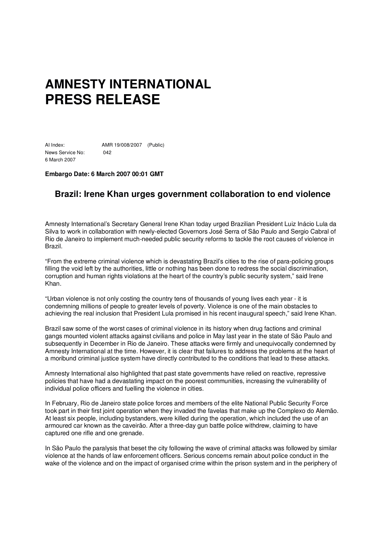# **AMNESTY INTERNATIONAL PRESS RELEASE**

AI Index: AMR 19/008/2007 (Public) News Service No: 042 6 March 2007

### **Embargo Date: 6 March 2007 00:01 GMT**

## **Brazil: Irene Khan urges government collaboration to end violence**

Amnesty International's Secretary General Irene Khan today urged Brazilian President Luiz Inácio Lula da Silva to work in collaboration with newly-elected Governors José Serra of São Paulo and Sergio Cabral of Rio de Janeiro to implement much-needed public security reforms to tackle the root causes of violence in Brazil.

"From the extreme criminal violence which is devastating Brazil's cities to the rise of para-policing groups filling the void left by the authorities, little or nothing has been done to redress the social discrimination, corruption and human rights violations at the heart of the country's public security system," said Irene Khan.

"Urban violence is not only costing the country tens of thousands of young lives each year - it is condemning millions of people to greater levels of poverty. Violence is one of the main obstacles to achieving the real inclusion that President Lula promised in his recent inaugural speech," said Irene Khan.

Brazil saw some of the worst cases of criminal violence in its history when drug factions and criminal gangs mounted violent attacks against civilians and police in May last year in the state of São Paulo and subsequently in December in Rio de Janeiro. These attacks were firmly and unequivocally condemned by Amnesty International at the time. However, it is clear that failures to address the problems at the heart of a moribund criminal justice system have directly contributed to the conditions that lead to these attacks.

Amnesty International also highlighted that past state governments have relied on reactive, repressive policies that have had a devastating impact on the poorest communities, increasing the vulnerability of individual police officers and fuelling the violence in cities.

In February, Rio de Janeiro state police forces and members of the elite National Public Security Force took part in their first joint operation when they invaded the favelas that make up the Complexo do Alemão. At least six people, including bystanders, were killed during the operation, which included the use of an armoured car known as the caveirão. After a three-day gun battle police withdrew, claiming to have captured one rifle and one grenade.

In São Paulo the paralysis that beset the city following the wave of criminal attacks was followed by similar violence at the hands of law enforcement officers. Serious concerns remain about police conduct in the wake of the violence and on the impact of organised crime within the prison system and in the periphery of